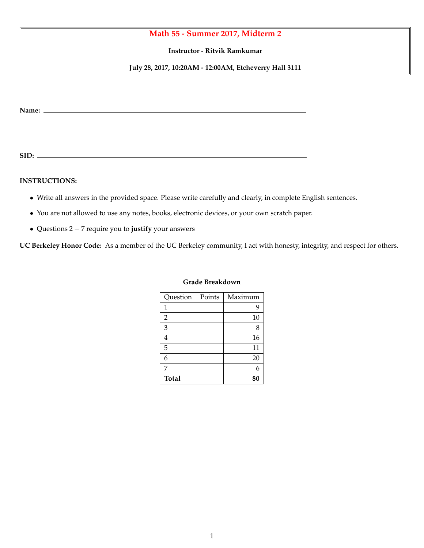## **Math 55 - Summer 2017, Midterm 2**

**Instructor - Ritvik Ramkumar**

**July 28, 2017, 10:20AM - 12:00AM, Etcheverry Hall 3111**

**Name:**

**SID:**

## **INSTRUCTIONS:**

- *•* Write all answers in the provided space. Please write carefully and clearly, in complete English sentences.
- *•* You are not allowed to use any notes, books, electronic devices, or your own scratch paper.
- Questions 2 7 require you to justify your answers

**UC Berkeley Honor Code:** As a member of the UC Berkeley community, I act with honesty, integrity, and respect for others.

| Question       | Points | Maximum |
|----------------|--------|---------|
| 1              |        |         |
| $\overline{2}$ |        | 10      |
| 3              |        | 8       |
| 4              |        | 16      |
| 5              |        | 11      |
| 6              |        | 20      |
| 7              |        |         |
| <b>Total</b>   |        | 80      |

## **Grade Breakdown**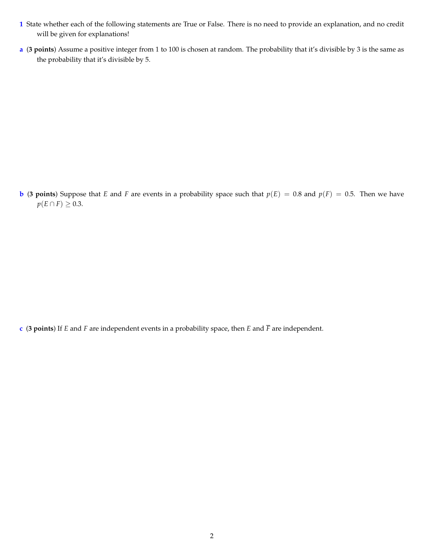- **1** State whether each of the following statements are True or False. There is no need to provide an explanation, and no credit will be given for explanations!
- **a** (**3 points**) Assume a positive integer from 1 to 100 is chosen at random. The probability that it's divisible by 3 is the same as the probability that it's divisible by 5.

**b** (**3** points) Suppose that *E* and *F* are events in a probability space such that  $p(E) = 0.8$  and  $p(F) = 0.5$ . Then we have  $p(E \cap F) \geq 0.3$ .

**c** (**3 points**) If *E* and *F* are independent events in a probability space, then *E* and *F* are independent.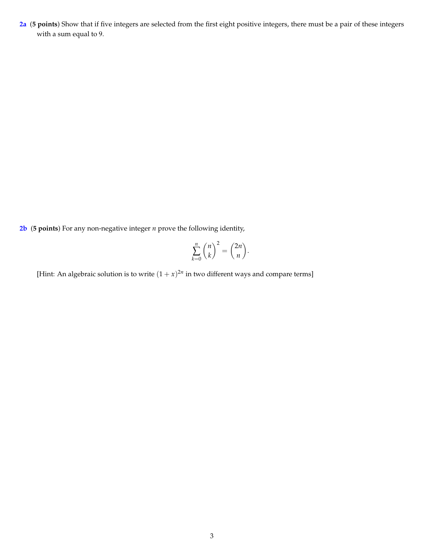**2a** (**5 points**) Show that if five integers are selected from the first eight positive integers, there must be a pair of these integers with a sum equal to 9.

**2b** (**5 points**) For any non-negative integer *n* prove the following identity,

$$
\sum_{k=0}^{n} \binom{n}{k}^2 = \binom{2n}{n}.
$$

[Hint: An algebraic solution is to write  $(1 + x)^{2n}$  in two different ways and compare terms]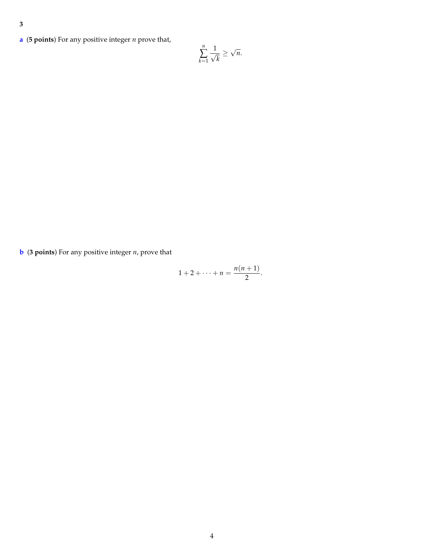- **3**
- **a** (**5 points**) For any positive integer *n* prove that,

$$
\sum_{k=1}^n \frac{1}{\sqrt{k}} \ge \sqrt{n}.
$$

**b** (**3 points**) For any positive integer *n*, prove that

$$
1+2+\cdots+n=\frac{n(n+1)}{2}.
$$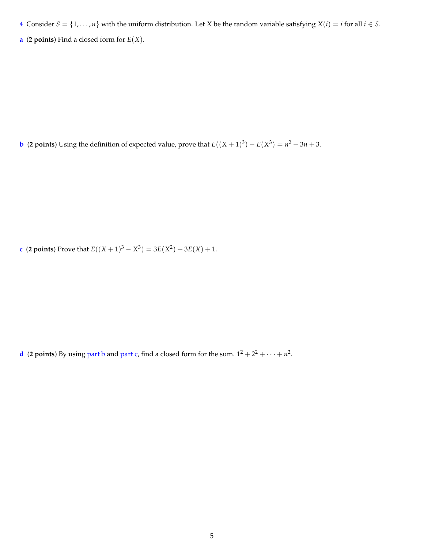**4** Consider  $S = \{1, \ldots, n\}$  with the uniform distribution. Let *X* be the random variable satisfying  $X(i) = i$  for all  $i \in S$ .

**a** (**2 points**) Find a closed form for *E*(*X*).

**b** (**2 points**) Using the definition of expected value, prove that  $E((X + 1)^3) - E(X^3) = n^2 + 3n + 3$ .

**c** (**2 points**) Prove that  $E((X + 1)^3 - X^3) = 3E(X^2) + 3E(X) + 1$ .

**d** (**2 points**) By using part b and part c, find a closed form for the sum.  $1^2 + 2^2 + \cdots + n^2$ .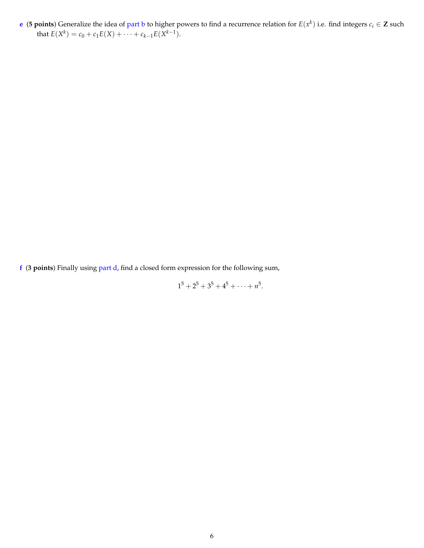**e** (**5** points) Generalize the idea of part b to higher powers to find a recurrence relation for  $E(x^k)$  i.e. find integers  $c_i \in \mathbb{Z}$  such that  $E(X^k) = c_0 + c_1 E(X) + \cdots + c_{k-1} E(X^{k-1}).$ 

**f** (**3 points**) Finally using part d, find a closed form expression for the following sum,

 $1^5 + 2^5 + 3^5 + 4^5 + \cdots + n^5$ .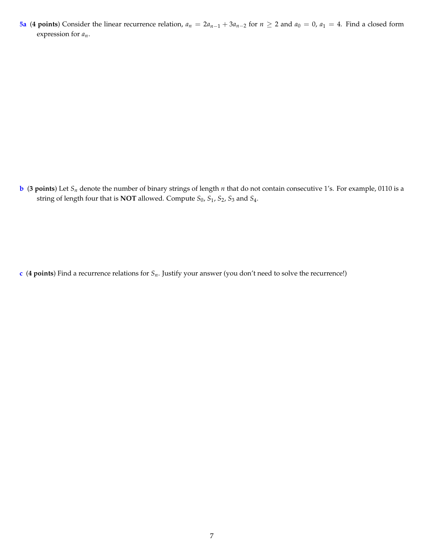**5a** (4 points) Consider the linear recurrence relation,  $a_n = 2a_{n-1} + 3a_{n-2}$  for  $n \ge 2$  and  $a_0 = 0$ ,  $a_1 = 4$ . Find a closed form expression for *an*.

**b** (**3 points**) Let *Sn* denote the number of binary strings of length *n* that do not contain consecutive 1's. For example, 0110 is a string of length four that is **NOT** allowed. Compute *S*0, *S*1, *S*2, *S*<sup>3</sup> and *S*4.

**c** (**4 points**) Find a recurrence relations for *Sn*. Justify your answer (you don't need to solve the recurrence!)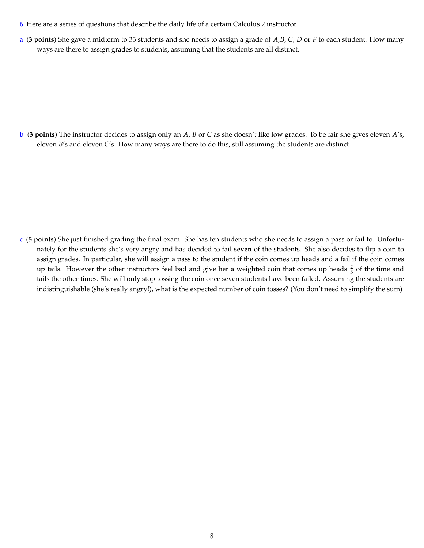- **6** Here are a series of questions that describe the daily life of a certain Calculus 2 instructor.
- **a** (**3 points**) She gave a midterm to 33 students and she needs to assign a grade of *A*,*B*, *C*, *D* or *F* to each student. How many ways are there to assign grades to students, assuming that the students are all distinct.

**b** (**3 points**) The instructor decides to assign only an *A*, *B* or *C* as she doesn't like low grades. To be fair she gives eleven *A*'s, eleven *B*'s and eleven *C*'s. How many ways are there to do this, still assuming the students are distinct.

**c** (**5 points**) She just finished grading the final exam. She has ten students who she needs to assign a pass or fail to. Unfortunately for the students she's very angry and has decided to fail **seven** of the students. She also decides to flip a coin to assign grades. In particular, she will assign a pass to the student if the coin comes up heads and a fail if the coin comes up tails. However the other instructors feel bad and give her a weighted coin that comes up heads  $\frac{2}{3}$  of the time and tails the other times. She will only stop tossing the coin once seven students have been failed. Assuming the students are indistinguishable (she's really angry!), what is the expected number of coin tosses? (You don't need to simplify the sum)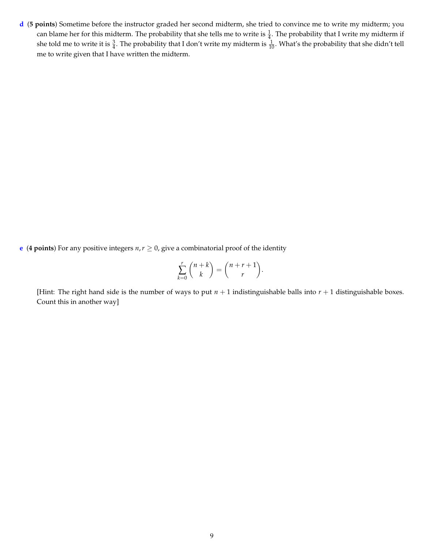**d** (**5 points**) Sometime before the instructor graded her second midterm, she tried to convince me to write my midterm; you can blame her for this midterm. The probability that she tells me to write is  $\frac{1}{4}$ . The probability that I write my midterm if she told me to write it is  $\frac{3}{4}$ . The probability that I don't write my midterm is  $\frac{1}{10}$ . What's the probability that she didn't tell me to write given that I have written the midterm.

**e** (**4 points**) For any positive integers  $n, r \ge 0$ , give a combinatorial proof of the identity

$$
\sum_{k=0}^r \binom{n+k}{k} = \binom{n+r+1}{r}.
$$

[Hint: The right hand side is the number of ways to put  $n + 1$  indistinguishable balls into  $r + 1$  distinguishable boxes. Count this in another way]